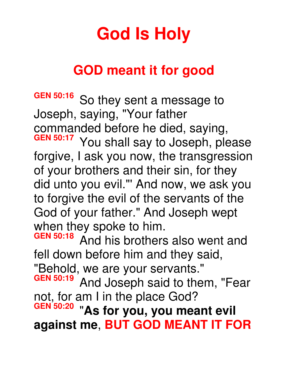## **God Is Holy**

## **GOD meant it for good**

**GEN 50:16** So they sent a message to Joseph, saying, "Your father commanded before he died, saying,<br> **GEN 50:17** You shall say to locaph ple You shall say to Joseph, please forgive, I ask you now, the transgression of your brothers and their sin, for they did unto you evil."' And now, we ask you to forgive the evil of the servants of the God of your father." And Joseph wept when they spoke to him.<br>GEN 50:18 And his brothers **GEN 50:18** And his brothers also went and fell down before him and they said, "Behold, we are your servants."<br> **GEN 50:19** And Joseph said to the And Joseph said to them, "Fear

not, for am I in the place God? **GEN 50:20** "**As for you, you meant evil against me**, **BUT GOD MEANT IT FOR**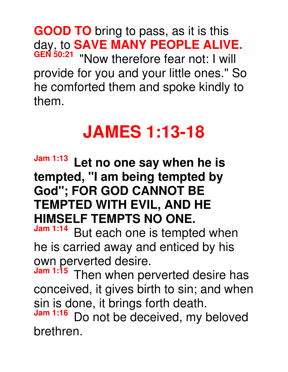**GOOD TO** bring to pass, as it is this day, to **SAVE MANY PEOPLE ALIVE. GEN 50:21** "Now therefore fear not: I will provide for you and your little ones." So he comforted them and spoke kindly to them.

## **JAMES 1:13-18**

**Jam 1:13 Let no one say when he is tempted, "I am being tempted by God"; FOR GOD CANNOT BE TEMPTED WITH EVIL, AND HE HIMSELF TEMPTS NO ONE.**<br>Jam 1:14 Dut each are in termste

But each one is tempted when he is carried away and enticed by his own perverted desire.<br>Jam 1:15 Then when not

Then when perverted desire has conceived, it gives birth to sin; and when sin is done, it brings forth death.

Do not be deceived, my beloved brethren.